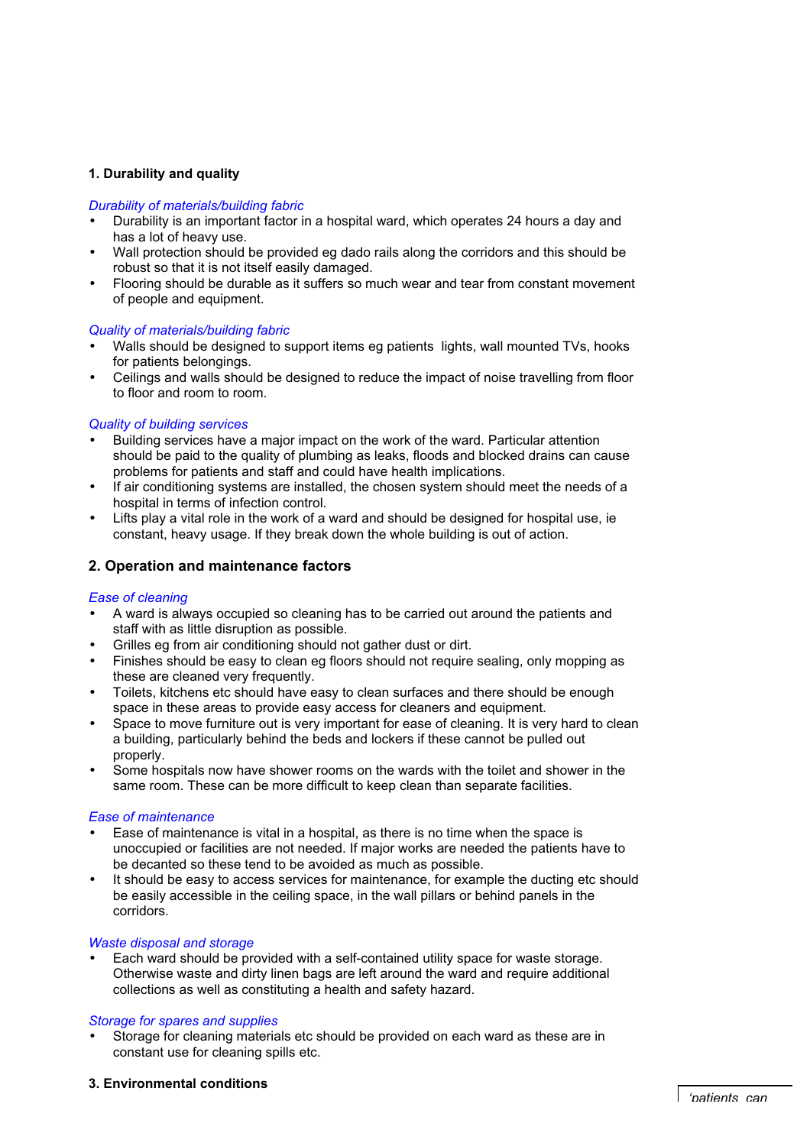# **1. Durability and quality**

### *Durability of materials/building fabric*

- Durability is an important factor in a hospital ward, which operates 24 hours a day and has a lot of heavy use.
- Wall protection should be provided eg dado rails along the corridors and this should be robust so that it is not itself easily damaged.
- Flooring should be durable as it suffers so much wear and tear from constant movement of people and equipment.

### *Quality of materials/building fabric*

- Walls should be designed to support items eg patients lights, wall mounted TVs, hooks for patients belongings.
- Ceilings and walls should be designed to reduce the impact of noise travelling from floor to floor and room to room.

## *Quality of building services*

- Building services have a major impact on the work of the ward. Particular attention should be paid to the quality of plumbing as leaks, floods and blocked drains can cause problems for patients and staff and could have health implications.
- If air conditioning systems are installed, the chosen system should meet the needs of a hospital in terms of infection control.
- Lifts play a vital role in the work of a ward and should be designed for hospital use, ie constant, heavy usage. If they break down the whole building is out of action.

# **2. Operation and maintenance factors**

#### *Ease of cleaning*

- A ward is always occupied so cleaning has to be carried out around the patients and staff with as little disruption as possible.
- Grilles eg from air conditioning should not gather dust or dirt.
- Finishes should be easy to clean eg floors should not require sealing, only mopping as these are cleaned very frequently.
- Toilets, kitchens etc should have easy to clean surfaces and there should be enough space in these areas to provide easy access for cleaners and equipment.
- Space to move furniture out is very important for ease of cleaning. It is very hard to clean a building, particularly behind the beds and lockers if these cannot be pulled out properly
- Some hospitals now have shower rooms on the wards with the toilet and shower in the same room. These can be more difficult to keep clean than separate facilities.

## *Ease of maintenance*

- Ease of maintenance is vital in a hospital, as there is no time when the space is unoccupied or facilities are not needed. If major works are needed the patients have to be decanted so these tend to be avoided as much as possible.
- It should be easy to access services for maintenance, for example the ducting etc should be easily accessible in the ceiling space, in the wall pillars or behind panels in the corridors.

## *Waste disposal and storage*

Each ward should be provided with a self-contained utility space for waste storage. Otherwise waste and dirty linen bags are left around the ward and require additional collections as well as constituting a health and safety hazard.

#### *Storage for spares and supplies*

Storage for cleaning materials etc should be provided on each ward as these are in constant use for cleaning spills etc.

## **3. Environmental conditions**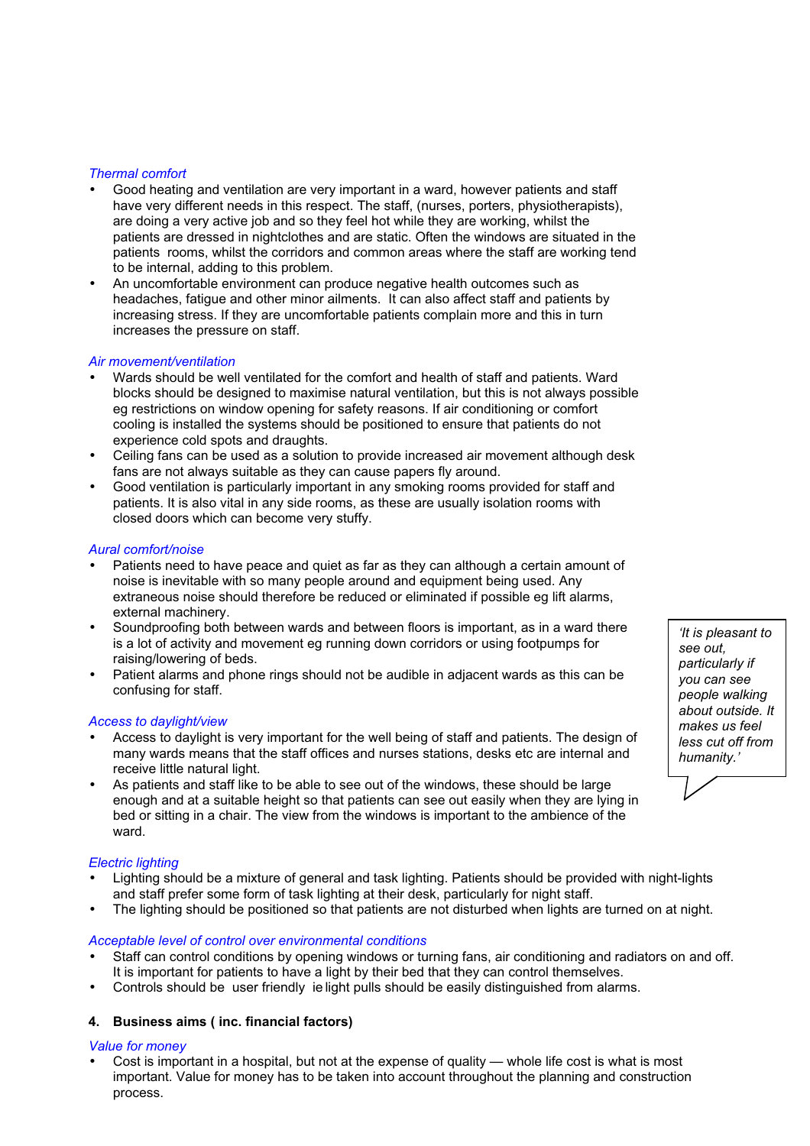## *Thermal comfort*

- Good heating and ventilation are very important in a ward, however patients and staff have very different needs in this respect. The staff, (nurses, porters, physiotherapists), are doing a very active job and so they feel hot while they are working, whilst the patients are dressed in nightclothes and are static. Often the windows are situated in the patients rooms, whilst the corridors and common areas where the staff are working tend to be internal, adding to this problem.
- An uncomfortable environment can produce negative health outcomes such as headaches, fatigue and other minor ailments. It can also affect staff and patients by increasing stress. If they are uncomfortable patients complain more and this in turn increases the pressure on staff.

## *Air movement/ventilation*

- Wards should be well ventilated for the comfort and health of staff and patients. Ward blocks should be designed to maximise natural ventilation, but this is not always possible eg restrictions on window opening for safety reasons. If air conditioning or comfort cooling is installed the systems should be positioned to ensure that patients do not experience cold spots and draughts.
- Ceiling fans can be used as a solution to provide increased air movement although desk fans are not always suitable as they can cause papers fly around.
- Good ventilation is particularly important in any smoking rooms provided for staff and patients. It is also vital in any side rooms, as these are usually isolation rooms with closed doors which can become very stuffy.

## *Aural comfort/noise*

- Patients need to have peace and quiet as far as they can although a certain amount of noise is inevitable with so many people around and equipment being used. Any extraneous noise should therefore be reduced or eliminated if possible eg lift alarms, external machinery.
- Soundproofing both between wards and between floors is important, as in a ward there is a lot of activity and movement eg running down corridors or using footpumps for raising/lowering of beds.
- Patient alarms and phone rings should not be audible in adjacent wards as this can be confusing for staff.

## *Access to daylight/view*

- Access to daylight is very important for the well being of staff and patients. The design of many wards means that the staff offices and nurses stations, desks etc are internal and receive little natural light.
- As patients and staff like to be able to see out of the windows, these should be large enough and at a suitable height so that patients can see out easily when they are lying in bed or sitting in a chair. The view from the windows is important to the ambience of the ward.

# *Electric lighting*

- Lighting should be a mixture of general and task lighting. Patients should be provided with night-lights and staff prefer some form of task lighting at their desk, particularly for night staff.
- The lighting should be positioned so that patients are not disturbed when lights are turned on at night.

## *Acceptable level of control over environmental conditions*

- Staff can control conditions by opening windows or turning fans, air conditioning and radiators on and off. It is important for patients to have a light by their bed that they can control themselves.
- Controls should be user friendly ie light pulls should be easily distinguished from alarms.

# **4. Business aims ( inc. financial factors)**

## *Value for money*

• Cost is important in a hospital, but not at the expense of quality — whole life cost is what is most important. Value for money has to be taken into account throughout the planning and construction process.

*'It is pleasant to see out, particularly if you can see people walking about outside. It makes us feel less cut off from humanity.'*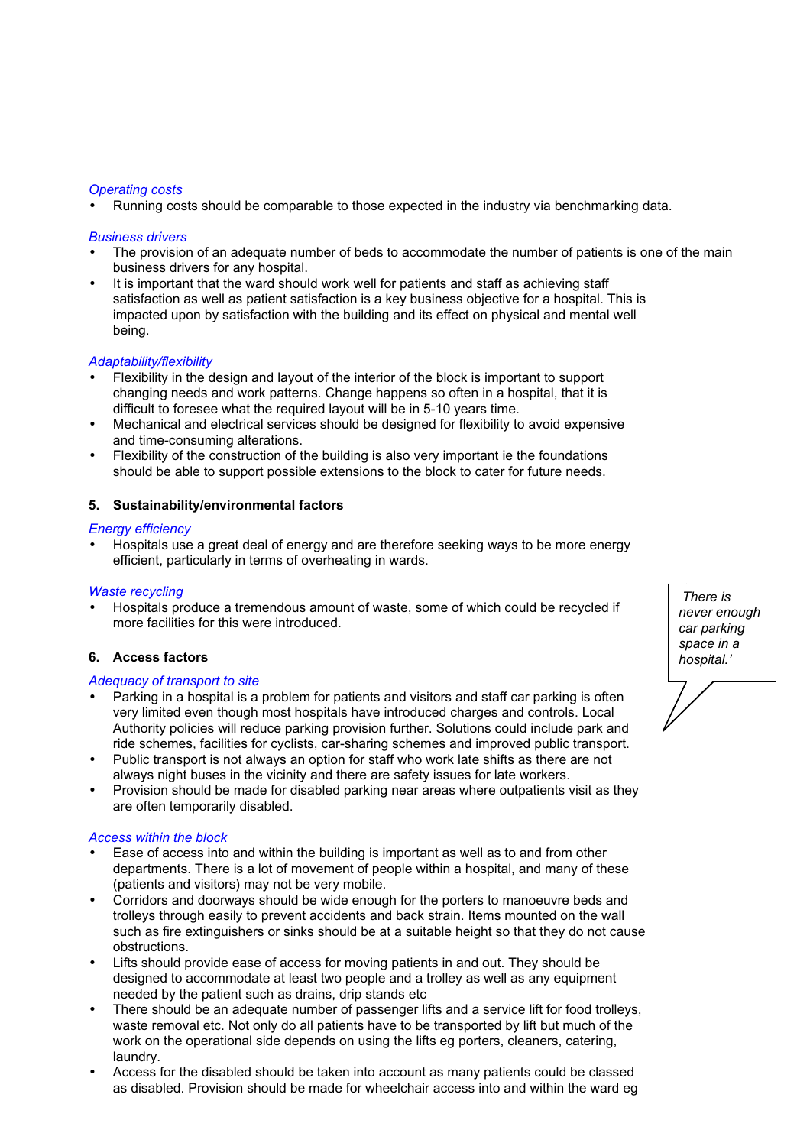### *Operating costs*

• Running costs should be comparable to those expected in the industry via benchmarking data.

### *Business drivers*

- The provision of an adequate number of beds to accommodate the number of patients is one of the main business drivers for any hospital.
- It is important that the ward should work well for patients and staff as achieving staff satisfaction as well as patient satisfaction is a key business objective for a hospital. This is impacted upon by satisfaction with the building and its effect on physical and mental well being.

## *Adaptability/flexibility*

- Flexibility in the design and layout of the interior of the block is important to support changing needs and work patterns. Change happens so often in a hospital, that it is difficult to foresee what the required layout will be in 5-10 years time.
- Mechanical and electrical services should be designed for flexibility to avoid expensive and time-consuming alterations.
- Flexibility of the construction of the building is also very important ie the foundations should be able to support possible extensions to the block to cater for future needs.

## **5. Sustainability/environmental factors**

### *Energy efficiency*

• Hospitals use a great deal of energy and are therefore seeking ways to be more energy efficient, particularly in terms of overheating in wards.

## *Waste recycling*

• Hospitals produce a tremendous amount of waste, some of which could be recycled if more facilities for this were introduced.

## **6. Access factors**

### *Adequacy of transport to site*

- Parking in a hospital is a problem for patients and visitors and staff car parking is often very limited even though most hospitals have introduced charges and controls. Local Authority policies will reduce parking provision further. Solutions could include park and ride schemes, facilities for cyclists, car-sharing schemes and improved public transport.
- Public transport is not always an option for staff who work late shifts as there are not always night buses in the vicinity and there are safety issues for late workers.
- Provision should be made for disabled parking near areas where outpatients visit as they are often temporarily disabled.

#### *Access within the block*

- Ease of access into and within the building is important as well as to and from other departments. There is a lot of movement of people within a hospital, and many of these (patients and visitors) may not be very mobile.
- Corridors and doorways should be wide enough for the porters to manoeuvre beds and trolleys through easily to prevent accidents and back strain. Items mounted on the wall such as fire extinguishers or sinks should be at a suitable height so that they do not cause obstructions.
- Lifts should provide ease of access for moving patients in and out. They should be designed to accommodate at least two people and a trolley as well as any equipment needed by the patient such as drains, drip stands etc
- There should be an adequate number of passenger lifts and a service lift for food trolleys, waste removal etc. Not only do all patients have to be transported by lift but much of the work on the operational side depends on using the lifts eg porters, cleaners, catering, laundry.
- Access for the disabled should be taken into account as many patients could be classed as disabled. Provision should be made for wheelchair access into and within the ward eg

*There is never enough car parking space in a hospital.'*

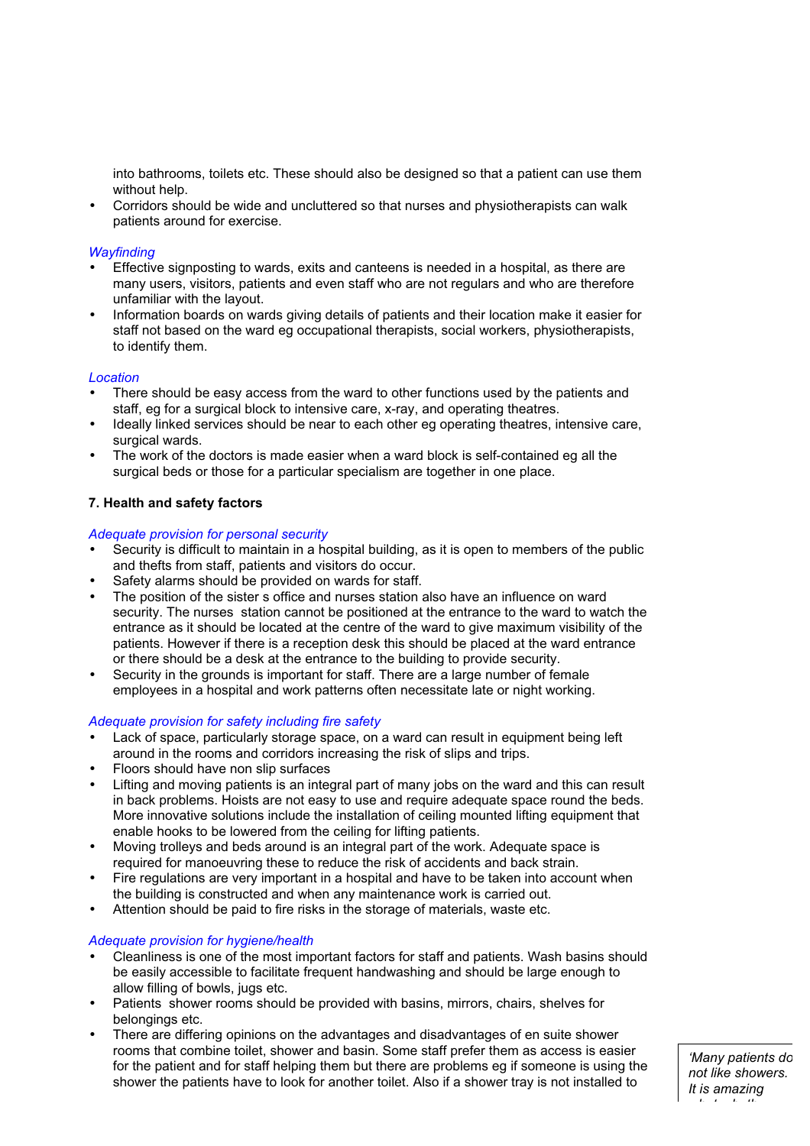into bathrooms, toilets etc. These should also be designed so that a patient can use them without help.

• Corridors should be wide and uncluttered so that nurses and physiotherapists can walk patients around for exercise.

# *Wayfinding*

- Effective signposting to wards, exits and canteens is needed in a hospital, as there are many users, visitors, patients and even staff who are not regulars and who are therefore unfamiliar with the layout.
- Information boards on wards giving details of patients and their location make it easier for staff not based on the ward eg occupational therapists, social workers, physiotherapists, to identify them.

## *Location*

- There should be easy access from the ward to other functions used by the patients and staff, eg for a surgical block to intensive care, x-ray, and operating theatres.
- Ideally linked services should be near to each other eg operating theatres, intensive care, surgical wards.
- The work of the doctors is made easier when a ward block is self-contained eg all the surgical beds or those for a particular specialism are together in one place.

# **7. Health and safety factors**

## *Adequate provision for personal security*

- Security is difficult to maintain in a hospital building, as it is open to members of the public and thefts from staff, patients and visitors do occur.
- Safety alarms should be provided on wards for staff.
- The position of the sister s office and nurses station also have an influence on ward security. The nurses station cannot be positioned at the entrance to the ward to watch the entrance as it should be located at the centre of the ward to give maximum visibility of the patients. However if there is a reception desk this should be placed at the ward entrance or there should be a desk at the entrance to the building to provide security.
- Security in the grounds is important for staff. There are a large number of female employees in a hospital and work patterns often necessitate late or night working.

## *Adequate provision for safety including fire safety*

- Lack of space, particularly storage space, on a ward can result in equipment being left around in the rooms and corridors increasing the risk of slips and trips.
- Floors should have non slip surfaces
- Lifting and moving patients is an integral part of many jobs on the ward and this can result in back problems. Hoists are not easy to use and require adequate space round the beds. More innovative solutions include the installation of ceiling mounted lifting equipment that enable hooks to be lowered from the ceiling for lifting patients.
- Moving trolleys and beds around is an integral part of the work. Adequate space is required for manoeuvring these to reduce the risk of accidents and back strain.
- Fire regulations are very important in a hospital and have to be taken into account when the building is constructed and when any maintenance work is carried out.
- Attention should be paid to fire risks in the storage of materials, waste etc.

## *Adequate provision for hygiene/health*

- Cleanliness is one of the most important factors for staff and patients. Wash basins should be easily accessible to facilitate frequent handwashing and should be large enough to allow filling of bowls, jugs etc.
- Patients shower rooms should be provided with basins, mirrors, chairs, shelves for belongings etc.
- There are differing opinions on the advantages and disadvantages of en suite shower rooms that combine toilet, shower and basin. Some staff prefer them as access is easier for the patient and for staff helping them but there are problems eg if someone is using the shower the patients have to look for another toilet. Also if a shower tray is not installed to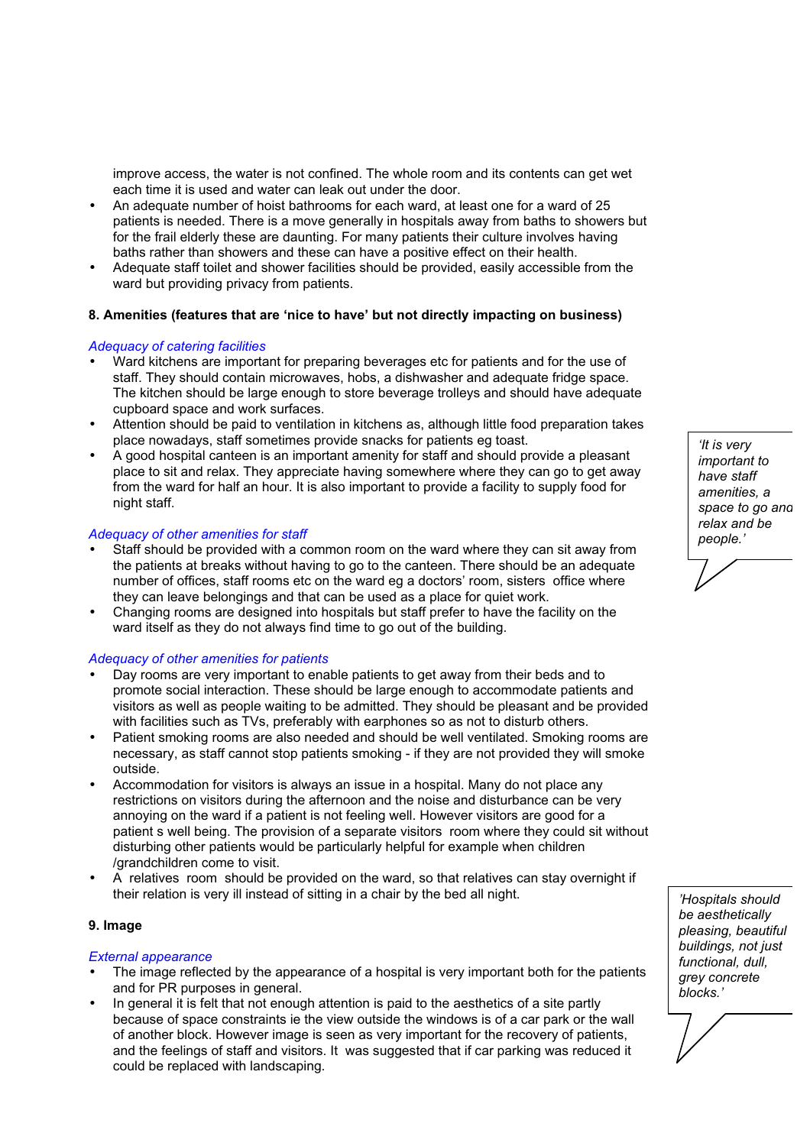improve access, the water is not confined. The whole room and its contents can get wet each time it is used and water can leak out under the door.

- An adequate number of hoist bathrooms for each ward, at least one for a ward of 25 patients is needed. There is a move generally in hospitals away from baths to showers but for the frail elderly these are daunting. For many patients their culture involves having baths rather than showers and these can have a positive effect on their health.
- Adequate staff toilet and shower facilities should be provided, easily accessible from the ward but providing privacy from patients.

## **8. Amenities (features that are 'nice to have' but not directly impacting on business)**

### *Adequacy of catering facilities*

- Ward kitchens are important for preparing beverages etc for patients and for the use of staff. They should contain microwaves, hobs, a dishwasher and adequate fridge space. The kitchen should be large enough to store beverage trolleys and should have adequate cupboard space and work surfaces.
- Attention should be paid to ventilation in kitchens as, although little food preparation takes place nowadays, staff sometimes provide snacks for patients eg toast.
- A good hospital canteen is an important amenity for staff and should provide a pleasant place to sit and relax. They appreciate having somewhere where they can go to get away from the ward for half an hour. It is also important to provide a facility to supply food for night staff.

### *Adequacy of other amenities for staff*

- Staff should be provided with a common room on the ward where they can sit away from the patients at breaks without having to go to the canteen. There should be an adequate number of offices, staff rooms etc on the ward eg a doctors' room, sisters office where they can leave belongings and that can be used as a place for quiet work.
- Changing rooms are designed into hospitals but staff prefer to have the facility on the ward itself as they do not always find time to go out of the building.

## *Adequacy of other amenities for patients*

- Day rooms are very important to enable patients to get away from their beds and to promote social interaction. These should be large enough to accommodate patients and visitors as well as people waiting to be admitted. They should be pleasant and be provided with facilities such as TVs, preferably with earphones so as not to disturb others.
- Patient smoking rooms are also needed and should be well ventilated. Smoking rooms are necessary, as staff cannot stop patients smoking - if they are not provided they will smoke outside.
- Accommodation for visitors is always an issue in a hospital. Many do not place any restrictions on visitors during the afternoon and the noise and disturbance can be very annoying on the ward if a patient is not feeling well. However visitors are good for a patient s well being. The provision of a separate visitors room where they could sit without disturbing other patients would be particularly helpful for example when children /grandchildren come to visit.
- A relatives room should be provided on the ward, so that relatives can stay overnight if their relation is very ill instead of sitting in a chair by the bed all night.

#### **9. Image**

#### *External appearance*

- The image reflected by the appearance of a hospital is very important both for the patients and for PR purposes in general.
- In general it is felt that not enough attention is paid to the aesthetics of a site partly because of space constraints ie the view outside the windows is of a car park or the wall of another block. However image is seen as very important for the recovery of patients, and the feelings of staff and visitors. It was suggested that if car parking was reduced it could be replaced with landscaping.

*'It is very important to have staff amenities, a space to go and relax and be people.'*

*'Hospitals should be aesthetically pleasing, beautiful buildings, not just functional, dull, grey concrete blocks.'*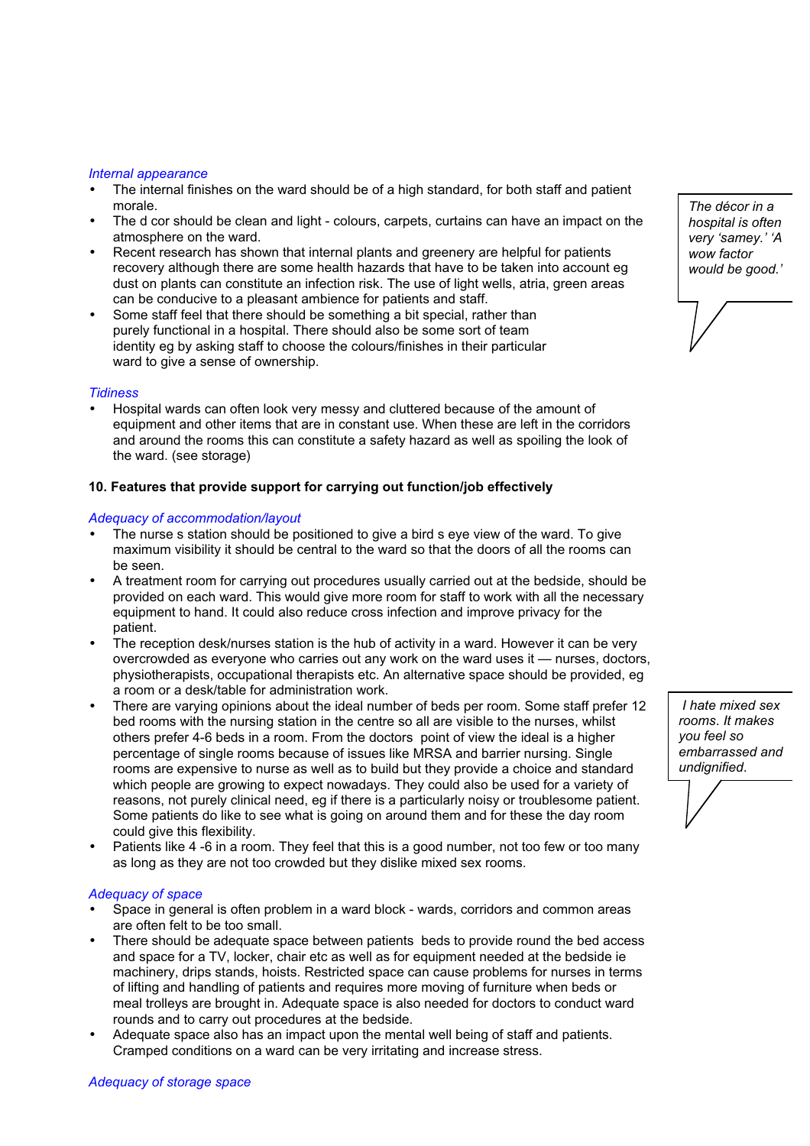#### *Internal appearance*

- The internal finishes on the ward should be of a high standard, for both staff and patient morale.
- The d cor should be clean and light colours, carpets, curtains can have an impact on the atmosphere on the ward.
- Recent research has shown that internal plants and greenery are helpful for patients recovery although there are some health hazards that have to be taken into account eg dust on plants can constitute an infection risk. The use of light wells, atria, green areas can be conducive to a pleasant ambience for patients and staff.
- Some staff feel that there should be something a bit special, rather than purely functional in a hospital. There should also be some sort of team identity eg by asking staff to choose the colours/finishes in their particular ward to give a sense of ownership.

## *Tidiness*

• Hospital wards can often look very messy and cluttered because of the amount of equipment and other items that are in constant use. When these are left in the corridors and around the rooms this can constitute a safety hazard as well as spoiling the look of the ward. (see storage)

## **10. Features that provide support for carrying out function/job effectively**

## *Adequacy of accommodation/layout*

- The nurse s station should be positioned to give a bird s eye view of the ward. To give maximum visibility it should be central to the ward so that the doors of all the rooms can be seen.
- A treatment room for carrying out procedures usually carried out at the bedside, should be provided on each ward. This would give more room for staff to work with all the necessary equipment to hand. It could also reduce cross infection and improve privacy for the patient.
- The reception desk/nurses station is the hub of activity in a ward. However it can be very overcrowded as everyone who carries out any work on the ward uses it — nurses, doctors, physiotherapists, occupational therapists etc. An alternative space should be provided, eg a room or a desk/table for administration work.
- There are varying opinions about the ideal number of beds per room. Some staff prefer 12 bed rooms with the nursing station in the centre so all are visible to the nurses, whilst others prefer 4-6 beds in a room. From the doctors point of view the ideal is a higher percentage of single rooms because of issues like MRSA and barrier nursing. Single rooms are expensive to nurse as well as to build but they provide a choice and standard which people are growing to expect nowadays. They could also be used for a variety of reasons, not purely clinical need, eg if there is a particularly noisy or troublesome patient. Some patients do like to see what is going on around them and for these the day room could give this flexibility.
- Patients like 4 -6 in a room. They feel that this is a good number, not too few or too many as long as they are not too crowded but they dislike mixed sex rooms.

#### *Adequacy of space*

- Space in general is often problem in a ward block wards, corridors and common areas are often felt to be too small.
- There should be adequate space between patients beds to provide round the bed access and space for a TV, locker, chair etc as well as for equipment needed at the bedside ie machinery, drips stands, hoists. Restricted space can cause problems for nurses in terms of lifting and handling of patients and requires more moving of furniture when beds or meal trolleys are brought in. Adequate space is also needed for doctors to conduct ward rounds and to carry out procedures at the bedside.
- Adequate space also has an impact upon the mental well being of staff and patients. Cramped conditions on a ward can be very irritating and increase stress.

*The décor in a hospital is often very 'samey.' 'A wow factor would be good.'*

*I hate mixed sex rooms*. *It makes you feel so embarrassed and undignified*.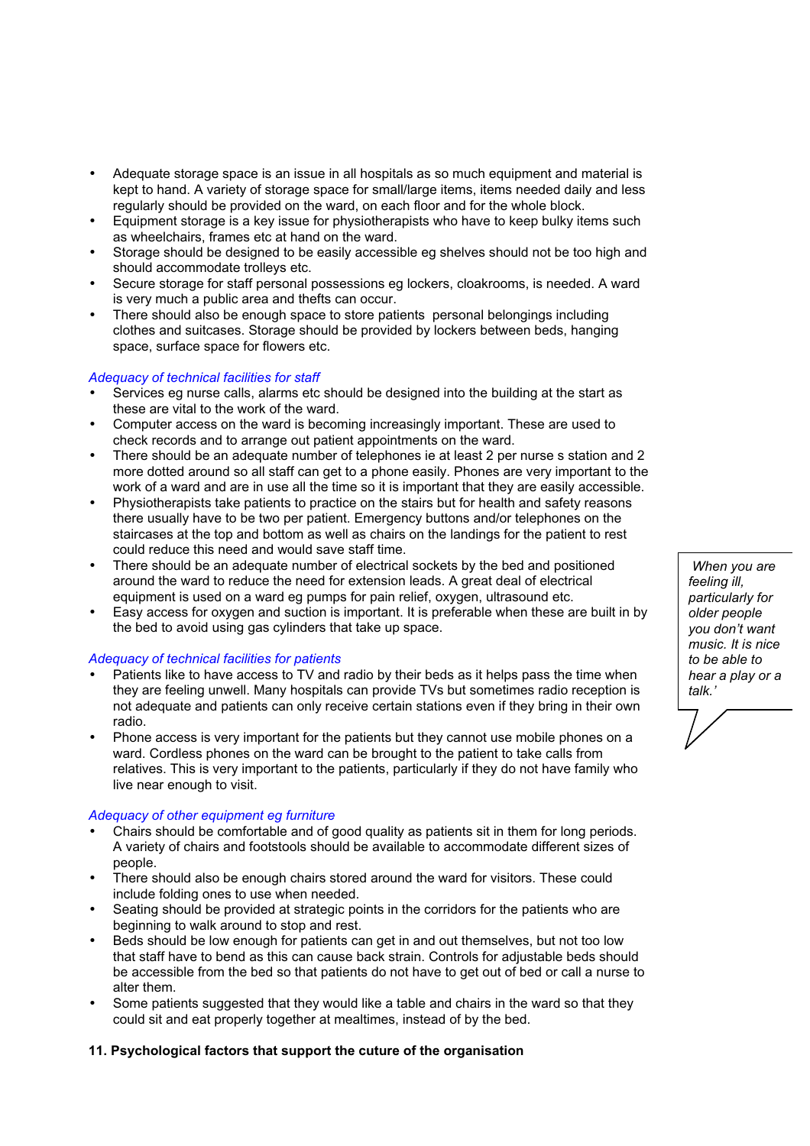- Adequate storage space is an issue in all hospitals as so much equipment and material is kept to hand. A variety of storage space for small/large items, items needed daily and less regularly should be provided on the ward, on each floor and for the whole block.
- Equipment storage is a key issue for physiotherapists who have to keep bulky items such as wheelchairs, frames etc at hand on the ward.
- Storage should be designed to be easily accessible eg shelves should not be too high and should accommodate trolleys etc.
- Secure storage for staff personal possessions eg lockers, cloakrooms, is needed. A ward is very much a public area and thefts can occur.
- There should also be enough space to store patients personal belongings including clothes and suitcases. Storage should be provided by lockers between beds, hanging space, surface space for flowers etc.

## *Adequacy of technical facilities for staff*

- Services eg nurse calls, alarms etc should be designed into the building at the start as these are vital to the work of the ward.
- Computer access on the ward is becoming increasingly important. These are used to check records and to arrange out patient appointments on the ward.
- There should be an adequate number of telephones ie at least 2 per nurse s station and 2 more dotted around so all staff can get to a phone easily. Phones are very important to the work of a ward and are in use all the time so it is important that they are easily accessible.
- Physiotherapists take patients to practice on the stairs but for health and safety reasons there usually have to be two per patient. Emergency buttons and/or telephones on the staircases at the top and bottom as well as chairs on the landings for the patient to rest could reduce this need and would save staff time.
- There should be an adequate number of electrical sockets by the bed and positioned around the ward to reduce the need for extension leads. A great deal of electrical equipment is used on a ward eg pumps for pain relief, oxygen, ultrasound etc.
- Easy access for oxygen and suction is important. It is preferable when these are built in by the bed to avoid using gas cylinders that take up space.

## *Adequacy of technical facilities for patients*

- Patients like to have access to TV and radio by their beds as it helps pass the time when they are feeling unwell. Many hospitals can provide TVs but sometimes radio reception is not adequate and patients can only receive certain stations even if they bring in their own radio.
- Phone access is very important for the patients but they cannot use mobile phones on a ward. Cordless phones on the ward can be brought to the patient to take calls from relatives. This is very important to the patients, particularly if they do not have family who live near enough to visit.

## *Adequacy of other equipment eg furniture*

- Chairs should be comfortable and of good quality as patients sit in them for long periods. A variety of chairs and footstools should be available to accommodate different sizes of people.
- There should also be enough chairs stored around the ward for visitors. These could include folding ones to use when needed.
- Seating should be provided at strategic points in the corridors for the patients who are beginning to walk around to stop and rest.
- Beds should be low enough for patients can get in and out themselves, but not too low that staff have to bend as this can cause back strain. Controls for adjustable beds should be accessible from the bed so that patients do not have to get out of bed or call a nurse to alter them.
- Some patients suggested that they would like a table and chairs in the ward so that they could sit and eat properly together at mealtimes, instead of by the bed.

# **11. Psychological factors that support the cuture of the organisation**

*When you are feeling ill, particularly for older people you don't want music. It is nice to be able to hear a play or a talk.'*